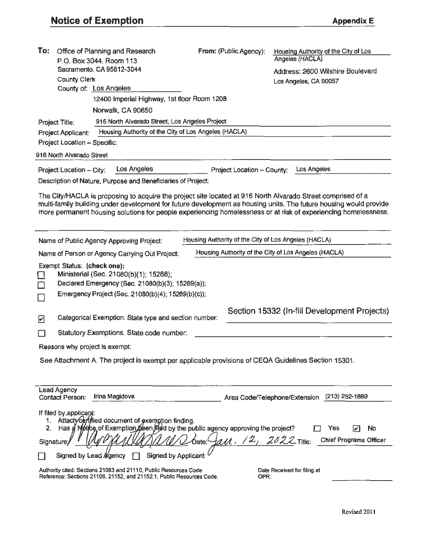| To:                                                                                                                                                                                                                                                                                                                                                | Office of Planning and Research<br>P.O. Box 3044, Room 113<br>Sacramento. CA 95812-3044                                                          | From: (Public Agency):                               | Housing Authority of the City of Los<br>Angeles (HACLA)<br>Address: 2600 Wilshire Boulevard |  |  |  |
|----------------------------------------------------------------------------------------------------------------------------------------------------------------------------------------------------------------------------------------------------------------------------------------------------------------------------------------------------|--------------------------------------------------------------------------------------------------------------------------------------------------|------------------------------------------------------|---------------------------------------------------------------------------------------------|--|--|--|
| County Clerk                                                                                                                                                                                                                                                                                                                                       |                                                                                                                                                  |                                                      | Los Angeles, CA 90057                                                                       |  |  |  |
|                                                                                                                                                                                                                                                                                                                                                    | County of: Los Angeles                                                                                                                           |                                                      |                                                                                             |  |  |  |
| 12400 Imperial Highway, 1st floor Room 1208                                                                                                                                                                                                                                                                                                        |                                                                                                                                                  |                                                      |                                                                                             |  |  |  |
|                                                                                                                                                                                                                                                                                                                                                    | Norwalk, CA 90650                                                                                                                                |                                                      |                                                                                             |  |  |  |
| Project Title:                                                                                                                                                                                                                                                                                                                                     | 916 North Alvarado Street, Los Angeles Project                                                                                                   |                                                      |                                                                                             |  |  |  |
| Housing Authority of the City of Los Angeles (HACLA)<br>Project Applicant:                                                                                                                                                                                                                                                                         |                                                                                                                                                  |                                                      |                                                                                             |  |  |  |
| Project Location - Specific:                                                                                                                                                                                                                                                                                                                       |                                                                                                                                                  |                                                      |                                                                                             |  |  |  |
| 916 North Alvarado Street                                                                                                                                                                                                                                                                                                                          |                                                                                                                                                  |                                                      |                                                                                             |  |  |  |
| Project Location - City:                                                                                                                                                                                                                                                                                                                           | Los Angeles                                                                                                                                      | Project Location - County:                           | Los Angeles                                                                                 |  |  |  |
|                                                                                                                                                                                                                                                                                                                                                    | Description of Nature, Purpose and Beneficiaries of Project:                                                                                     |                                                      |                                                                                             |  |  |  |
| The City/HACLA is proposing to acquire the project site located at 916 North Alvarado Street comprised of a<br>multi-family building under development for future development as housing units. The future housing would provide<br>more permanent housing solutions for people experiencing homelessness or at risk of experiencing homelessness. |                                                                                                                                                  |                                                      |                                                                                             |  |  |  |
|                                                                                                                                                                                                                                                                                                                                                    | Name of Public Agency Approving Project:                                                                                                         | Housing Authority of the City of Los Angeles (HACLA) |                                                                                             |  |  |  |
|                                                                                                                                                                                                                                                                                                                                                    | Name of Person or Agency Carrying Out Project:                                                                                                   |                                                      | Housing Authority of the City of Los Angeles (HACLA)                                        |  |  |  |
| Exempt Status: (check one):                                                                                                                                                                                                                                                                                                                        | Ministerial (Sec. 21080(b)(1); 15268);<br>Declared Emergency (Sec. 21080(b)(3); 15269(a));<br>Emergency Project (Sec. 21080(b)(4); 15269(b)(c)); |                                                      |                                                                                             |  |  |  |
| ☑                                                                                                                                                                                                                                                                                                                                                  | Categorical Exemption. State type and section number:                                                                                            |                                                      | Section 15332 (In-fill Development Projects)                                                |  |  |  |
|                                                                                                                                                                                                                                                                                                                                                    | Statutory Exemptions. State code number:                                                                                                         |                                                      |                                                                                             |  |  |  |
| Reasons why project is exempt:                                                                                                                                                                                                                                                                                                                     |                                                                                                                                                  |                                                      |                                                                                             |  |  |  |
|                                                                                                                                                                                                                                                                                                                                                    | See Attachment A. The project is exempt per applicable provisions of CEQA Guidelines Section 15301.                                              |                                                      |                                                                                             |  |  |  |
|                                                                                                                                                                                                                                                                                                                                                    |                                                                                                                                                  |                                                      |                                                                                             |  |  |  |
| Lead Agency<br><b>Contact Person:</b>                                                                                                                                                                                                                                                                                                              | <b>Irina Magidova</b>                                                                                                                            |                                                      | Area Code/Telephone/Extension (213) 252-1889                                                |  |  |  |
| If filed by applicant:<br>1.<br>2.<br>Signature;                                                                                                                                                                                                                                                                                                   | Attach/certified document of exemption finding.<br>Has a Notice of Exemption been field by the public agency approving the project?              | ru. 12                                               | <b>No</b><br>Yes<br>$2022$ Title:<br><b>Chief Programs Officer</b>                          |  |  |  |
|                                                                                                                                                                                                                                                                                                                                                    | <b>Signed by Applicant</b><br>Signed by Lead Agency                                                                                              |                                                      |                                                                                             |  |  |  |
|                                                                                                                                                                                                                                                                                                                                                    | Authority cited: Sections 21083 and 21110, Public Resources Code<br>Reference: Sections 21108, 21152, and 21152.1, Public Resources Code.        | OPR:                                                 | Date Received for filing at                                                                 |  |  |  |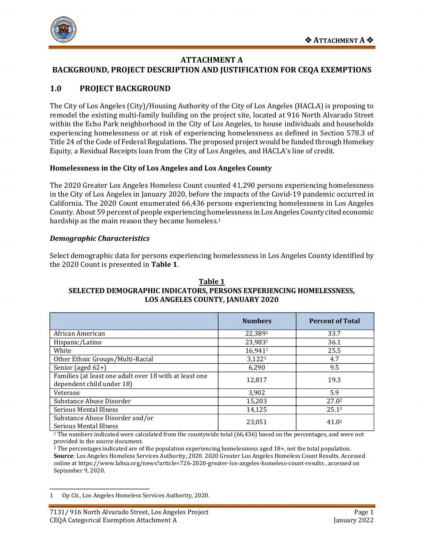

## **ATTACHMENT A**

## **BACKGROUND, PROJECT DESCRIPTION AND JUSTIFICATION FOR CEQA EXEMPTIONS**

# **1.0 PROJECT BACKGROUND**

The City of Los Angeles (City)/Housing Authority of the City of Los Angeles (HACLA) is proposing to remodel the existing multi-family building on the project site, located at 916 North Alvarado Street within the Echo Park neighborhood in the City of Los Angeles, to house individuals and households experiencing homelessness or at risk of experiencing homelessness as defined in Section 578.3 of Title 24 of the Code of Federal Regulations. The proposed project would be funded through Homekey Equity, a Residual Receipts loan from the City of Los Angeles, and HACLA's line of credit.

## **Homelessness in the City of Los Angeles and Los Angeles County**

The 2020 Greater Los Angeles Homeless Count counted 41,290 persons experiencing homelessness in the City of Los Angeles in January 2020, before the impacts of the Covid-19 pandemic occurred in California. The 2020 Count enumerated 66,436 persons experiencing homelessness in Los Angeles County. About 59 percent of people experiencing homelessness in Los Angeles County cited economic hardship as the main reason they became homeless.<sup>1</sup>

#### *Demographic Characteristics*

Select demographic data for persons experiencing homelessness in Los Angeles County identified by the 2020 Count is presented in **Table 1**.

#### **Table 1 SELECTED DEMOGRAPHIC INDICATORS, PERSONS EXPERIENCING HOMELESSNESS, LOS ANGELES COUNTY, JANUARY 2020**

|                                                                                     | <b>Numbers</b>     | <b>Percent of Total</b> |
|-------------------------------------------------------------------------------------|--------------------|-------------------------|
| African American                                                                    | 22,3891            | 33.7                    |
| Hispanic/Latino                                                                     | 23,9831            | 36.1                    |
| White                                                                               | 16,9411            | 25.5                    |
| Other Ethnic Groups/Multi-Racial                                                    | 3,122 <sup>1</sup> | 4.7                     |
| Senior (aged 62+)                                                                   | 6,290              | 9.5                     |
| Families (at least one adult over 18 with at least one<br>dependent child under 18) | 12,817             | 19.3                    |
| Veterans                                                                            | 3,902              | 5.9                     |
| Substance Abuse Disorder                                                            | 15,203             | 27.0 <sup>2</sup>       |
| Serious Mental Illness                                                              | 14,125             | 25.1 <sup>2</sup>       |
| Substance Abuse Disorder and/or<br>Serious Mental Illness                           | 23,051             | 41.0 <sup>2</sup>       |

<sup>1</sup> The numbers indicated were calculated from the countywide total (66,436) based on the percentages, and were not provided in the source document.

<sup>2</sup> The percentages indicated are of the population experiencing homelessness aged 18+, not the total population. **Source**: Los Angeles Homeless Services Authority, 2020. 2020 Greater Los Angeles Homeless Count Results. Accessed online a[t https://www.lahsa.org/news?article=726-2020-greater-los-angeles-homeless-count-results](https://www.lahsa.org/news?article=726-2020-greater-los-angeles-homeless-count-results) , accessed on September 9, 2020.

<span id="page-1-0"></span> $\mathbf{1}$ 1 Op Cit., Los Angeles Homeless Services Authority, 2020.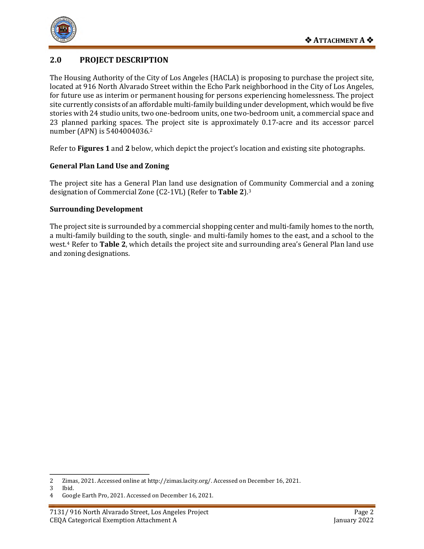

# **2.0 PROJECT DESCRIPTION**

The Housing Authority of the City of Los Angeles (HACLA) is proposing to purchase the project site, located at 916 North Alvarado Street within the Echo Park neighborhood in the City of Los Angeles, for future use as interim or permanent housing for persons experiencing homelessness. The project site currently consists of an affordable multi-family building under development, which would be five stories with 24 studio units, two one-bedroom units, one two-bedroom unit, a commercial space and 23 planned parking spaces. The project site is approximately 0.17-acre and its accessor parcel number (APN) is 5404004036.[2](#page-2-0) 

Refer to **Figures 1** and **2** below, which depict the project's location and existing site photographs.

## **General Plan Land Use and Zoning**

The project site has a General Plan land use designation of Community Commercial and a zoning designation of Commercial Zone (C2-1VL) (Refer to **Table 2**).[3](#page-2-1)

#### **Surrounding Development**

The project site is surrounded by a commercial shopping center and multi-family homes to the north, a multi-family building to the south, single- and multi-family homes to the east, and a school to the west.[4](#page-2-2) Refer to **Table 2**, which details the project site and surrounding area's General Plan land use and zoning designations.

<span id="page-2-1"></span><span id="page-2-0"></span> $\overline{2}$ 2 Zimas, 2021. Accessed online a[t http://zimas.lacity.org/.](http://zimas.lacity.org/) Accessed on December 16, 2021.

 $3$  Ibid.<br> $4$  Goog

<span id="page-2-2"></span><sup>4</sup> Google Earth Pro, 2021. Accessed on December 16, 2021.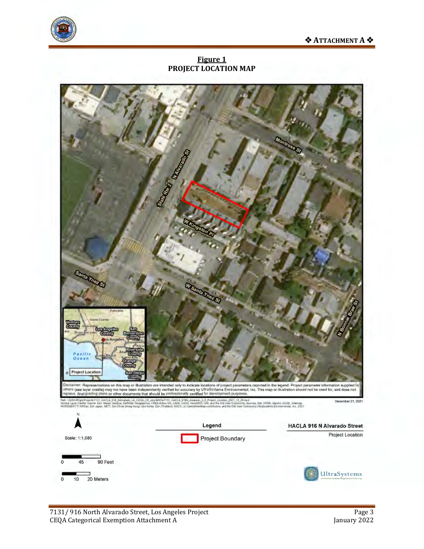



**Figure 1 PROJECT LOCATION MAP**

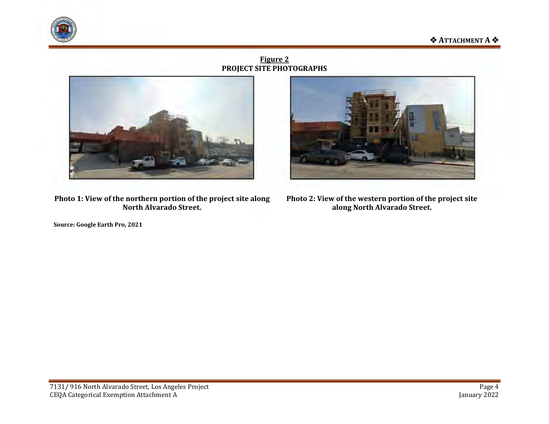



**Figure 2 PROJECT SITE PHOTOGRAPHS**



**Photo 1: View of the northern portion of the project site along North Alvarado Street.** 

**Source: Google Earth Pro, 2021**



**Photo 2: View of the western portion of the project site along North Alvarado Street.**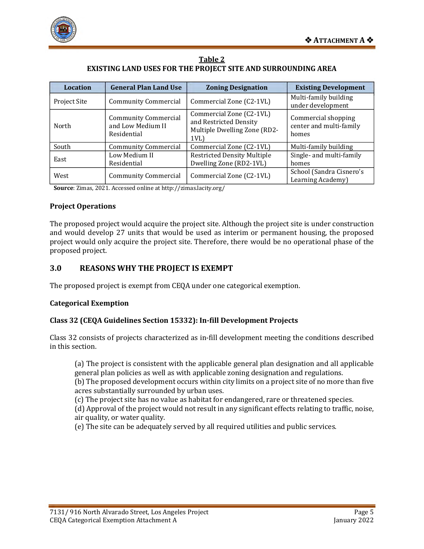



| <b>Table 2</b>                                               |
|--------------------------------------------------------------|
| EXISTING LAND USES FOR THE PROJECT SITE AND SURROUNDING AREA |

| <b>Location</b> | <b>General Plan Land Use</b>                                    | <b>Zoning Designation</b>                                                                 | <b>Existing Development</b>                             |
|-----------------|-----------------------------------------------------------------|-------------------------------------------------------------------------------------------|---------------------------------------------------------|
| Project Site    | <b>Community Commercial</b>                                     | Commercial Zone (C2-1VL)                                                                  | Multi-family building<br>under development              |
| North           | <b>Community Commercial</b><br>and Low Medium II<br>Residential | Commercial Zone (C2-1VL)<br>and Restricted Density<br>Multiple Dwelling Zone (RD2-<br>1VL | Commercial shopping<br>center and multi-family<br>homes |
| South           | <b>Community Commercial</b>                                     | Commercial Zone (C2-1VL)                                                                  | Multi-family building                                   |
| East            | Low Medium II<br>Residential                                    | <b>Restricted Density Multiple</b><br>Dwelling Zone (RD2-1VL)                             | Single- and multi-family<br>homes                       |
| West            | <b>Community Commercial</b>                                     | Commercial Zone (C2-1VL)                                                                  | School (Sandra Cisnero's<br>Learning Academy)           |

**Source**: Zimas, 2021. Accessed online at http://zimas.lacity.org/

#### **Project Operations**

The proposed project would acquire the project site. Although the project site is under construction and would develop 27 units that would be used as interim or permanent housing, the proposed project would only acquire the project site. Therefore, there would be no operational phase of the proposed project.

## **3.0 REASONS WHY THE PROJECT IS EXEMPT**

The proposed project is exempt from CEQA under one categorical exemption.

#### **Categorical Exemption**

#### **Class 32 (CEQA Guidelines Section 15332): In-fill Development Projects**

Class 32 consists of projects characterized as in-fill development meeting the conditions described in this section.

(a) The project is consistent with the applicable general plan designation and all applicable general plan policies as well as with applicable zoning designation and regulations.

(b) The proposed development occurs within city limits on a project site of no more than five acres substantially surrounded by urban uses.

(c) The project site has no value as habitat for endangered, rare or threatened species.

(d) Approval of the project would not result in any significant effects relating to traffic, noise, air quality, or water quality.

(e) The site can be adequately served by all required utilities and public services.